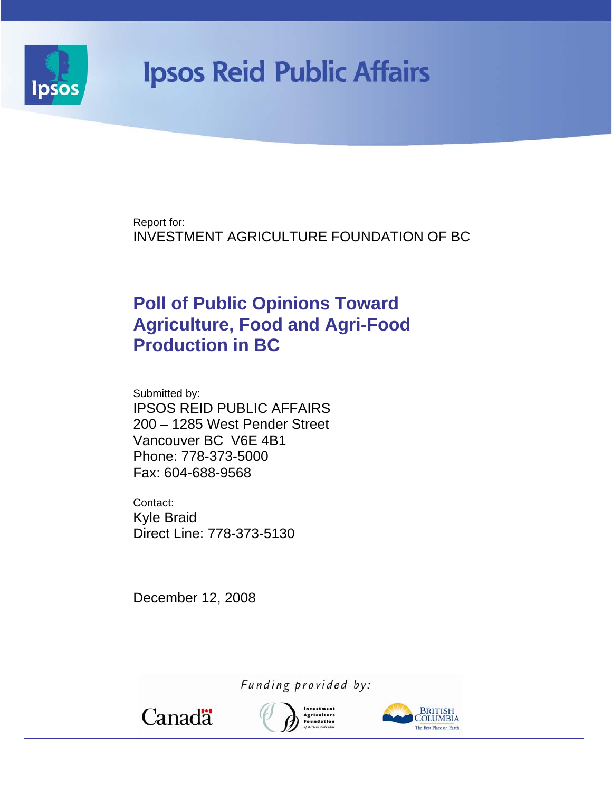

# **Ipsos Reid Public Affairs**

Report for: INVESTMENT AGRICULTURE FOUNDATION OF BC

# **Poll of Public Opinions Toward Agriculture, Food and Agri-Food Production in BC**

Submitted by: IPSOS REID PUBLIC AFFAIRS 200 – 1285 West Pender Street Vancouver BC V6E 4B1 Phone: 778-373-5000 Fax: 604-688-9568

Contact: Kyle Braid Direct Line: 778-373-5130

December 12, 2008

Funding provided by:

Canadä



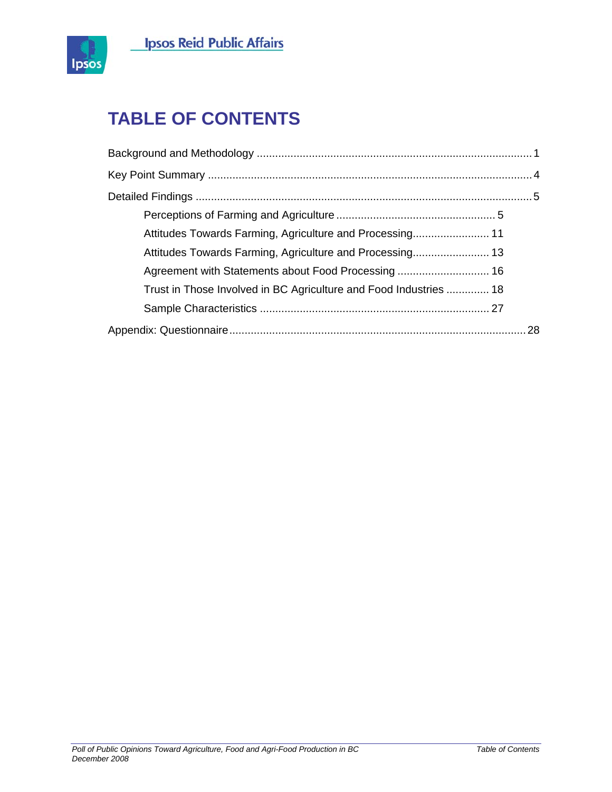



# **TABLE OF CONTENTS**

| Attitudes Towards Farming, Agriculture and Processing 11          |  |
|-------------------------------------------------------------------|--|
| Attitudes Towards Farming, Agriculture and Processing 13          |  |
|                                                                   |  |
| Trust in Those Involved in BC Agriculture and Food Industries  18 |  |
|                                                                   |  |
|                                                                   |  |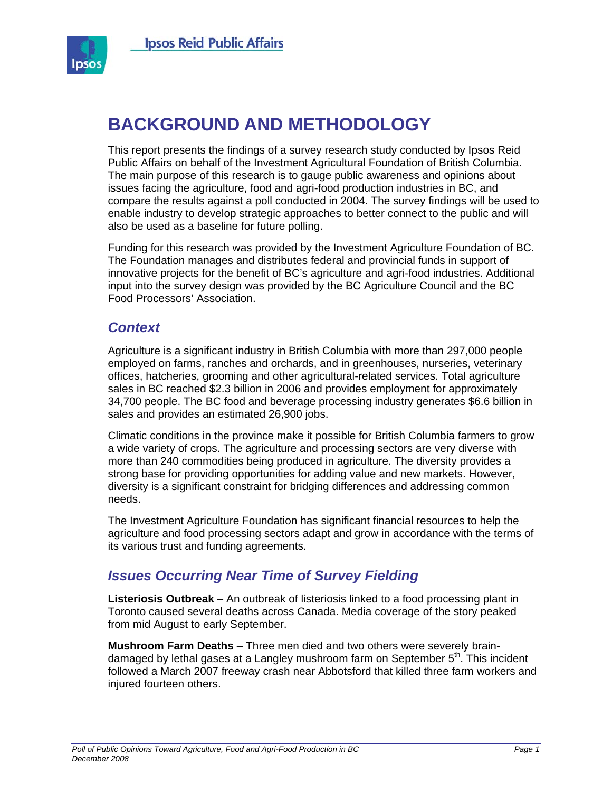

# **BACKGROUND AND METHODOLOGY**

This report presents the findings of a survey research study conducted by Ipsos Reid Public Affairs on behalf of the Investment Agricultural Foundation of British Columbia. The main purpose of this research is to gauge public awareness and opinions about issues facing the agriculture, food and agri-food production industries in BC, and compare the results against a poll conducted in 2004. The survey findings will be used to enable industry to develop strategic approaches to better connect to the public and will also be used as a baseline for future polling.

Funding for this research was provided by the Investment Agriculture Foundation of BC. The Foundation manages and distributes federal and provincial funds in support of innovative projects for the benefit of BC's agriculture and agri-food industries. Additional input into the survey design was provided by the BC Agriculture Council and the BC Food Processors' Association.

### *Context*

Agriculture is a significant industry in British Columbia with more than 297,000 people employed on farms, ranches and orchards, and in greenhouses, nurseries, veterinary offices, hatcheries, grooming and other agricultural-related services. Total agriculture sales in BC reached \$2.3 billion in 2006 and provides employment for approximately 34,700 people. The BC food and beverage processing industry generates \$6.6 billion in sales and provides an estimated 26,900 jobs.

Climatic conditions in the province make it possible for British Columbia farmers to grow a wide variety of crops. The agriculture and processing sectors are very diverse with more than 240 commodities being produced in agriculture. The diversity provides a strong base for providing opportunities for adding value and new markets. However, diversity is a significant constraint for bridging differences and addressing common needs.

The Investment Agriculture Foundation has significant financial resources to help the agriculture and food processing sectors adapt and grow in accordance with the terms of its various trust and funding agreements.

# *Issues Occurring Near Time of Survey Fielding*

**Listeriosis Outbreak** – An outbreak of listeriosis linked to a food processing plant in Toronto caused several deaths across Canada. Media coverage of the story peaked from mid August to early September.

**Mushroom Farm Deaths** – Three men died and two others were severely braindamaged by lethal gases at a Langley mushroom farm on September  $5<sup>th</sup>$ . This incident followed a March 2007 freeway crash near Abbotsford that killed three farm workers and injured fourteen others.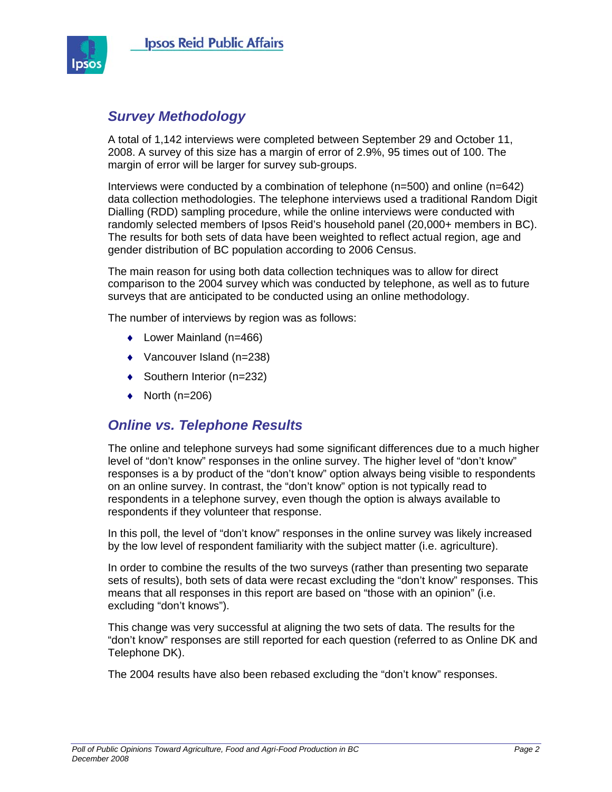

### *Survey Methodology*

A total of 1,142 interviews were completed between September 29 and October 11, 2008. A survey of this size has a margin of error of 2.9%, 95 times out of 100. The margin of error will be larger for survey sub-groups.

Interviews were conducted by a combination of telephone (n=500) and online (n=642) data collection methodologies. The telephone interviews used a traditional Random Digit Dialling (RDD) sampling procedure, while the online interviews were conducted with randomly selected members of Ipsos Reid's household panel (20,000+ members in BC). The results for both sets of data have been weighted to reflect actual region, age and gender distribution of BC population according to 2006 Census.

The main reason for using both data collection techniques was to allow for direct comparison to the 2004 survey which was conducted by telephone, as well as to future surveys that are anticipated to be conducted using an online methodology.

The number of interviews by region was as follows:

- ♦ Lower Mainland (n=466)
- ♦ Vancouver Island (n=238)
- ♦ Southern Interior (n=232)
- $\bullet$  North (n=206)

# *Online vs. Telephone Results*

The online and telephone surveys had some significant differences due to a much higher level of "don't know" responses in the online survey. The higher level of "don't know" responses is a by product of the "don't know" option always being visible to respondents on an online survey. In contrast, the "don't know" option is not typically read to respondents in a telephone survey, even though the option is always available to respondents if they volunteer that response.

In this poll, the level of "don't know" responses in the online survey was likely increased by the low level of respondent familiarity with the subject matter (i.e. agriculture).

In order to combine the results of the two surveys (rather than presenting two separate sets of results), both sets of data were recast excluding the "don't know" responses. This means that all responses in this report are based on "those with an opinion" (i.e. excluding "don't knows").

This change was very successful at aligning the two sets of data. The results for the "don't know" responses are still reported for each question (referred to as Online DK and Telephone DK).

The 2004 results have also been rebased excluding the "don't know" responses.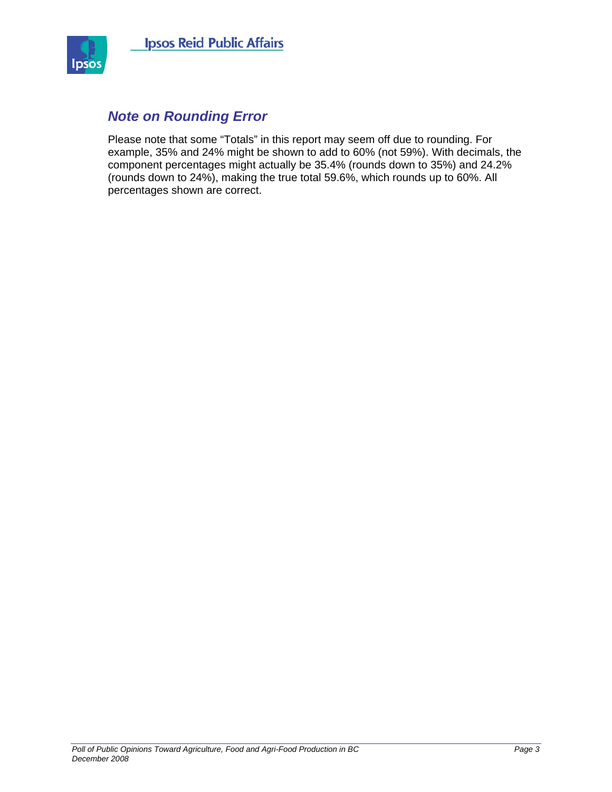

# *Note on Rounding Error*

Please note that some "Totals" in this report may seem off due to rounding. For example, 35% and 24% might be shown to add to 60% (not 59%). With decimals, the component percentages might actually be 35.4% (rounds down to 35%) and 24.2% (rounds down to 24%), making the true total 59.6%, which rounds up to 60%. All percentages shown are correct.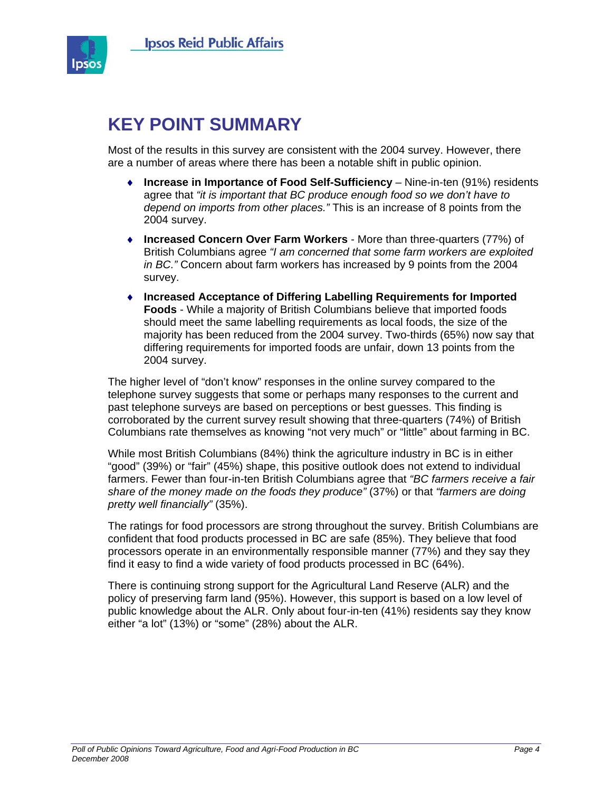

# **KEY POINT SUMMARY**

Most of the results in this survey are consistent with the 2004 survey. However, there are a number of areas where there has been a notable shift in public opinion.

- ♦ **Increase in Importance of Food Self-Sufficiency** Nine-in-ten (91%) residents agree that *"it is important that BC produce enough food so we don't have to depend on imports from other places."* This is an increase of 8 points from the 2004 survey.
- ♦ **Increased Concern Over Farm Workers** More than three-quarters (77%) of British Columbians agree *"I am concerned that some farm workers are exploited in BC."* Concern about farm workers has increased by 9 points from the 2004 survey.
- ♦ **Increased Acceptance of Differing Labelling Requirements for Imported Foods** - While a majority of British Columbians believe that imported foods should meet the same labelling requirements as local foods, the size of the majority has been reduced from the 2004 survey. Two-thirds (65%) now say that differing requirements for imported foods are unfair, down 13 points from the 2004 survey.

The higher level of "don't know" responses in the online survey compared to the telephone survey suggests that some or perhaps many responses to the current and past telephone surveys are based on perceptions or best guesses. This finding is corroborated by the current survey result showing that three-quarters (74%) of British Columbians rate themselves as knowing "not very much" or "little" about farming in BC.

While most British Columbians (84%) think the agriculture industry in BC is in either "good" (39%) or "fair" (45%) shape, this positive outlook does not extend to individual farmers. Fewer than four-in-ten British Columbians agree that *"BC farmers receive a fair share of the money made on the foods they produce"* (37%) or that *"farmers are doing pretty well financially"* (35%).

The ratings for food processors are strong throughout the survey. British Columbians are confident that food products processed in BC are safe (85%). They believe that food processors operate in an environmentally responsible manner (77%) and they say they find it easy to find a wide variety of food products processed in BC (64%).

There is continuing strong support for the Agricultural Land Reserve (ALR) and the policy of preserving farm land (95%). However, this support is based on a low level of public knowledge about the ALR. Only about four-in-ten (41%) residents say they know either "a lot" (13%) or "some" (28%) about the ALR.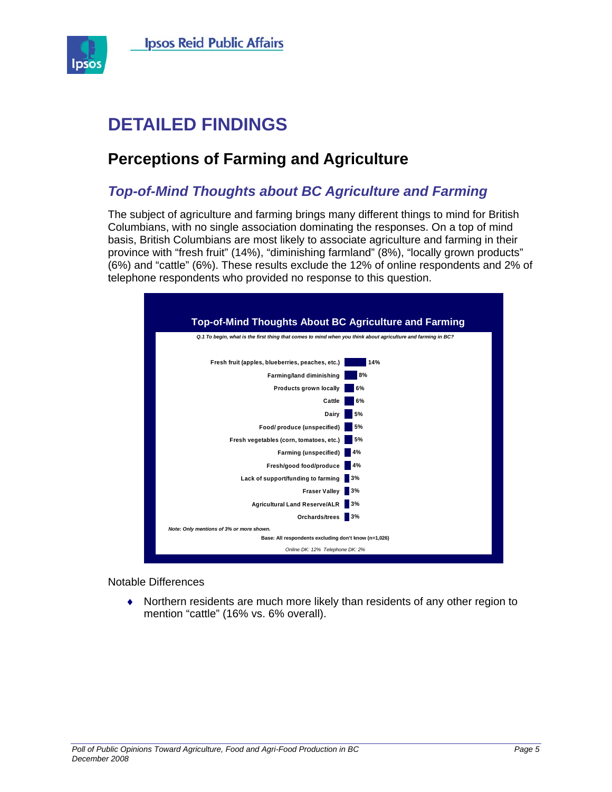

# **DETAILED FINDINGS**

# **Perceptions of Farming and Agriculture**

# *Top-of-Mind Thoughts about BC Agriculture and Farming*

The subject of agriculture and farming brings many different things to mind for British Columbians, with no single association dominating the responses. On a top of mind basis, British Columbians are most likely to associate agriculture and farming in their province with "fresh fruit" (14%), "diminishing farmland" (8%), "locally grown products" (6%) and "cattle" (6%). These results exclude the 12% of online respondents and 2% of telephone respondents who provided no response to this question.



#### Notable Differences

♦ Northern residents are much more likely than residents of any other region to mention "cattle" (16% vs. 6% overall).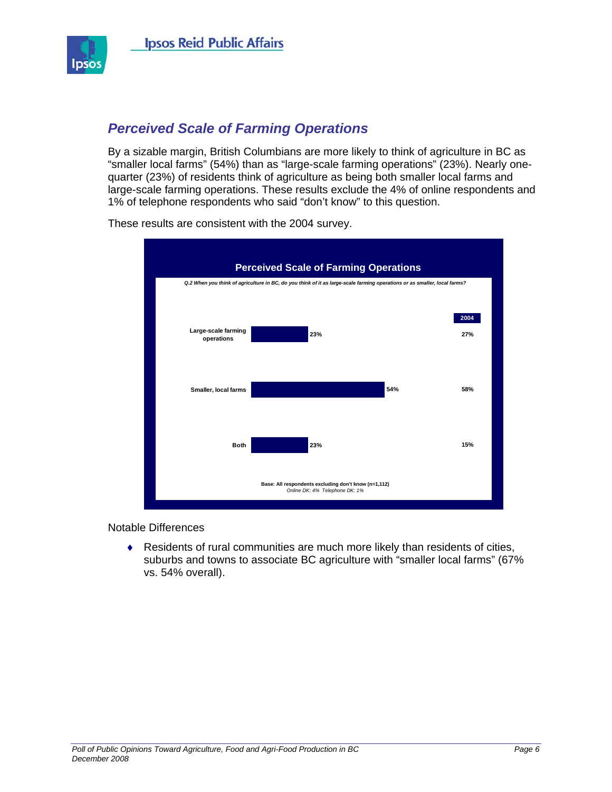

# *Perceived Scale of Farming Operations*

By a sizable margin, British Columbians are more likely to think of agriculture in BC as "smaller local farms" (54%) than as "large-scale farming operations" (23%). Nearly onequarter (23%) of residents think of agriculture as being both smaller local farms and large-scale farming operations. These results exclude the 4% of online respondents and 1% of telephone respondents who said "don't know" to this question.



These results are consistent with the 2004 survey.

Notable Differences

♦ Residents of rural communities are much more likely than residents of cities, suburbs and towns to associate BC agriculture with "smaller local farms" (67% vs. 54% overall).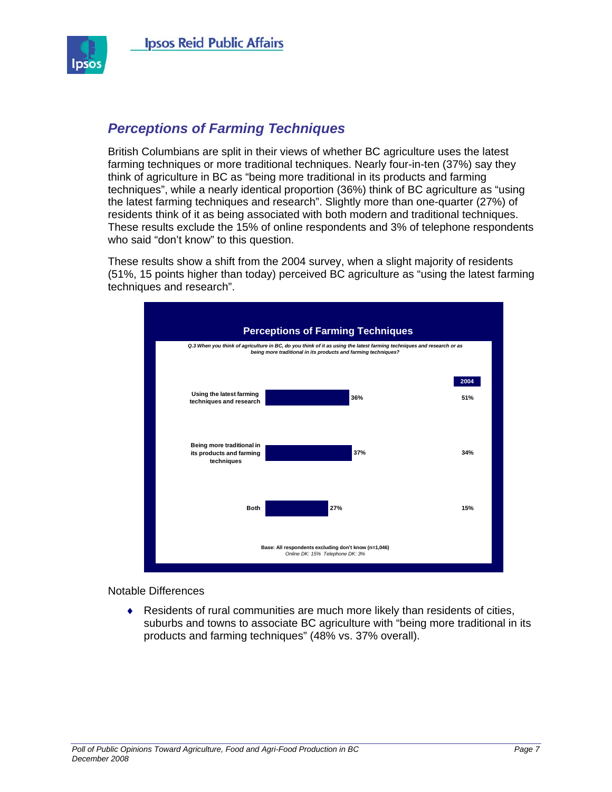

# *Perceptions of Farming Techniques*

British Columbians are split in their views of whether BC agriculture uses the latest farming techniques or more traditional techniques. Nearly four-in-ten (37%) say they think of agriculture in BC as "being more traditional in its products and farming techniques", while a nearly identical proportion (36%) think of BC agriculture as "using the latest farming techniques and research". Slightly more than one-quarter (27%) of residents think of it as being associated with both modern and traditional techniques. These results exclude the 15% of online respondents and 3% of telephone respondents who said "don't know" to this question.

These results show a shift from the 2004 survey, when a slight majority of residents (51%, 15 points higher than today) perceived BC agriculture as "using the latest farming techniques and research".



#### Notable Differences

♦ Residents of rural communities are much more likely than residents of cities, suburbs and towns to associate BC agriculture with "being more traditional in its products and farming techniques" (48% vs. 37% overall).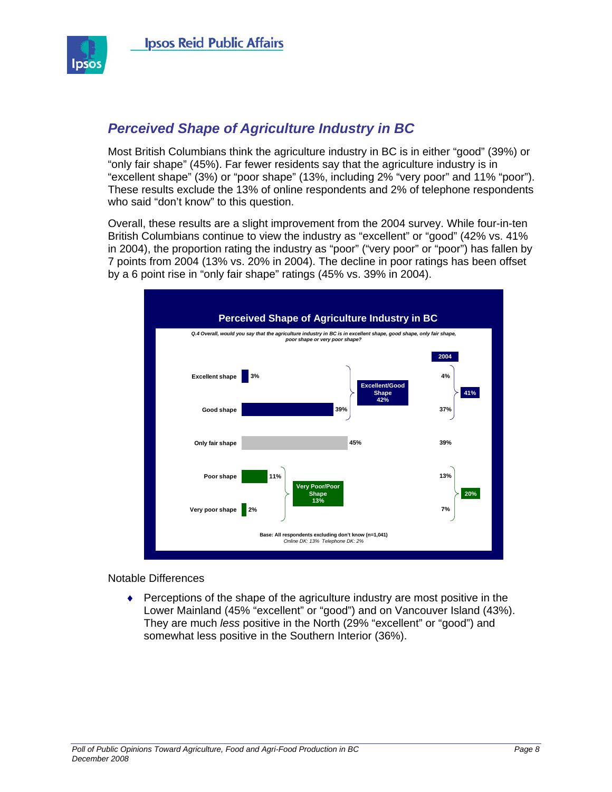

# *Perceived Shape of Agriculture Industry in BC*

Most British Columbians think the agriculture industry in BC is in either "good" (39%) or "only fair shape" (45%). Far fewer residents say that the agriculture industry is in "excellent shape" (3%) or "poor shape" (13%, including 2% "very poor" and 11% "poor"). These results exclude the 13% of online respondents and 2% of telephone respondents who said "don't know" to this question.

Overall, these results are a slight improvement from the 2004 survey. While four-in-ten British Columbians continue to view the industry as "excellent" or "good" (42% vs. 41% in 2004), the proportion rating the industry as "poor" ("very poor" or "poor") has fallen by 7 points from 2004 (13% vs. 20% in 2004). The decline in poor ratings has been offset by a 6 point rise in "only fair shape" ratings (45% vs. 39% in 2004).



#### Notable Differences

♦ Perceptions of the shape of the agriculture industry are most positive in the Lower Mainland (45% "excellent" or "good") and on Vancouver Island (43%). They are much *less* positive in the North (29% "excellent" or "good") and somewhat less positive in the Southern Interior (36%).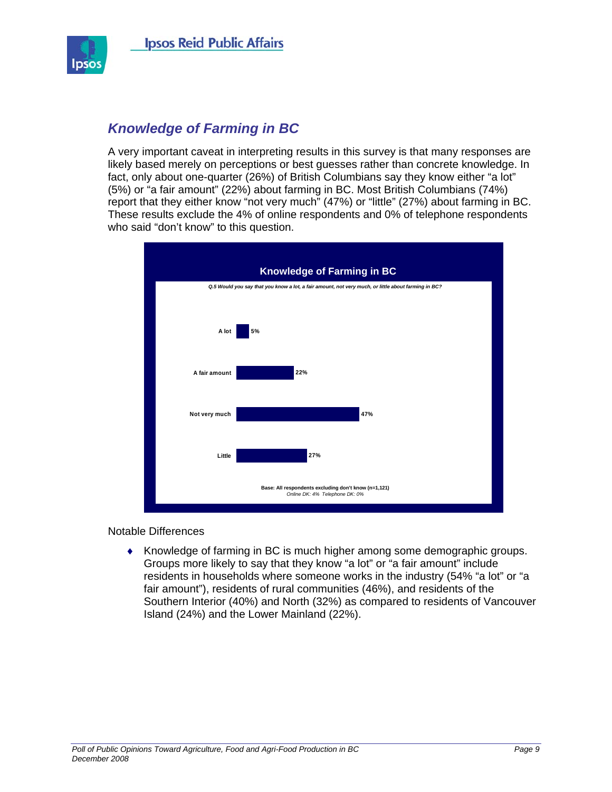

# *Knowledge of Farming in BC*

A very important caveat in interpreting results in this survey is that many responses are likely based merely on perceptions or best guesses rather than concrete knowledge. In fact, only about one-quarter (26%) of British Columbians say they know either "a lot" (5%) or "a fair amount" (22%) about farming in BC. Most British Columbians (74%) report that they either know "not very much" (47%) or "little" (27%) about farming in BC. These results exclude the 4% of online respondents and 0% of telephone respondents who said "don't know" to this question.



Notable Differences

♦ Knowledge of farming in BC is much higher among some demographic groups. Groups more likely to say that they know "a lot" or "a fair amount" include residents in households where someone works in the industry (54% "a lot" or "a fair amount"), residents of rural communities (46%), and residents of the Southern Interior (40%) and North (32%) as compared to residents of Vancouver Island (24%) and the Lower Mainland (22%).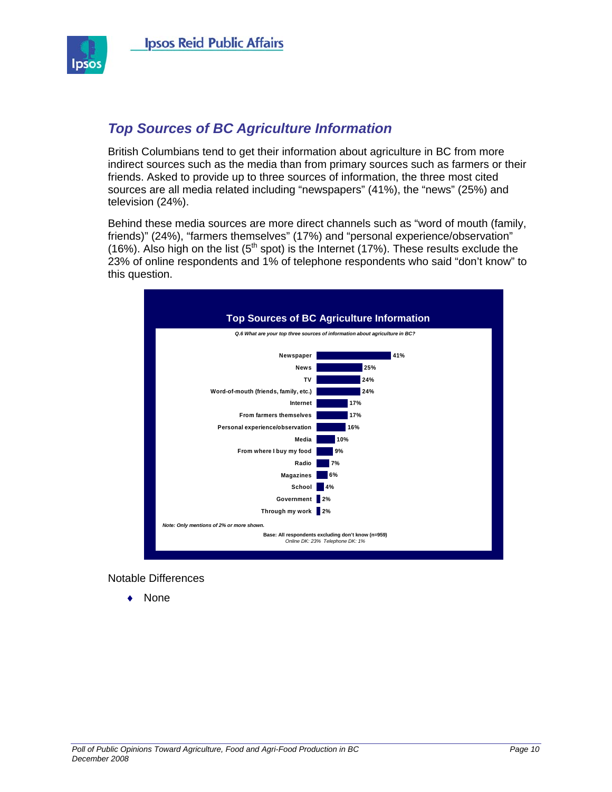

# *Top Sources of BC Agriculture Information*

British Columbians tend to get their information about agriculture in BC from more indirect sources such as the media than from primary sources such as farmers or their friends. Asked to provide up to three sources of information, the three most cited sources are all media related including "newspapers" (41%), the "news" (25%) and television (24%).

Behind these media sources are more direct channels such as "word of mouth (family, friends)" (24%), "farmers themselves" (17%) and "personal experience/observation" (16%). Also high on the list ( $5<sup>th</sup>$  spot) is the Internet (17%). These results exclude the 23% of online respondents and 1% of telephone respondents who said "don't know" to this question.



Notable Differences

♦ None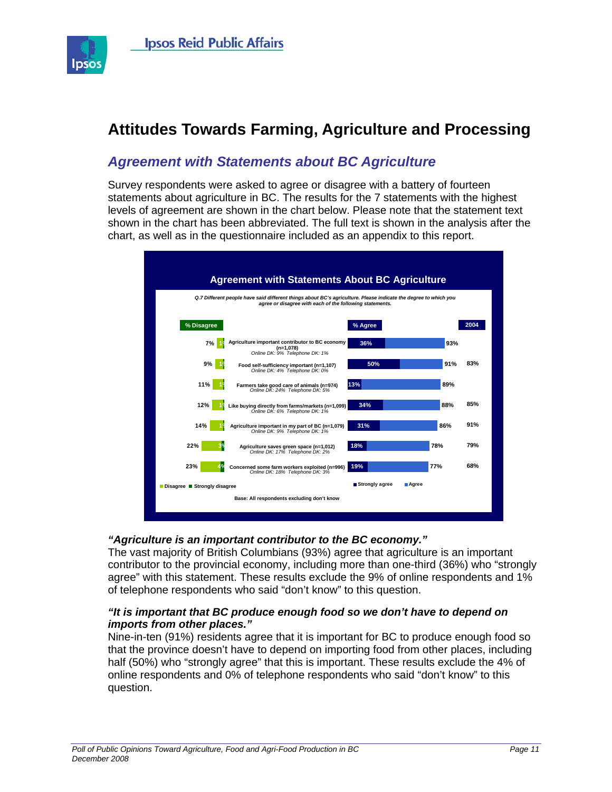

# **Attitudes Towards Farming, Agriculture and Processing**

# *Agreement with Statements about BC Agriculture*

Survey respondents were asked to agree or disagree with a battery of fourteen statements about agriculture in BC. The results for the 7 statements with the highest levels of agreement are shown in the chart below. Please note that the statement text shown in the chart has been abbreviated. The full text is shown in the analysis after the chart, as well as in the questionnaire included as an appendix to this report.



#### *"Agriculture is an important contributor to the BC economy."*

The vast majority of British Columbians (93%) agree that agriculture is an important contributor to the provincial economy, including more than one-third (36%) who "strongly agree" with this statement. These results exclude the 9% of online respondents and 1% of telephone respondents who said "don't know" to this question.

#### *"It is important that BC produce enough food so we don't have to depend on imports from other places."*

Nine-in-ten (91%) residents agree that it is important for BC to produce enough food so that the province doesn't have to depend on importing food from other places, including half (50%) who "strongly agree" that this is important. These results exclude the 4% of online respondents and 0% of telephone respondents who said "don't know" to this question.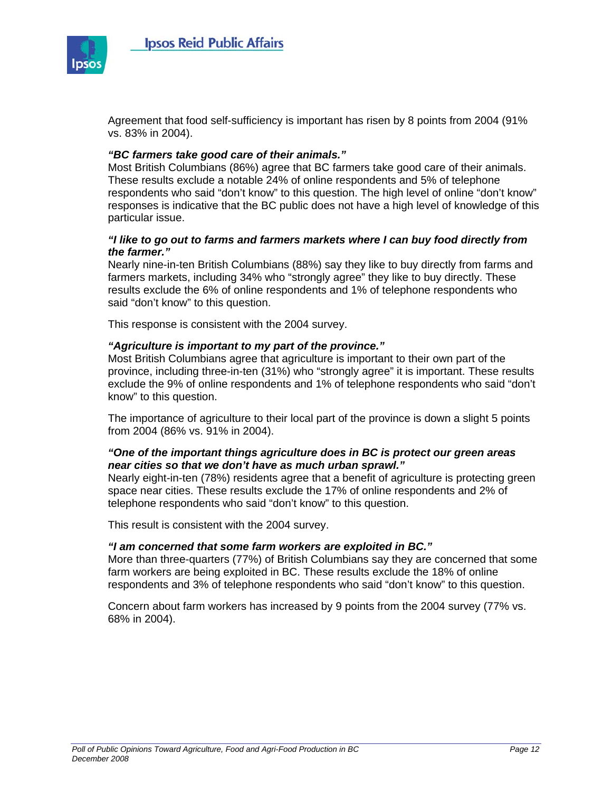

Agreement that food self-sufficiency is important has risen by 8 points from 2004 (91% vs. 83% in 2004).

#### *"BC farmers take good care of their animals."*

Most British Columbians (86%) agree that BC farmers take good care of their animals. These results exclude a notable 24% of online respondents and 5% of telephone respondents who said "don't know" to this question. The high level of online "don't know" responses is indicative that the BC public does not have a high level of knowledge of this particular issue.

#### *"I like to go out to farms and farmers markets where I can buy food directly from the farmer."*

Nearly nine-in-ten British Columbians (88%) say they like to buy directly from farms and farmers markets, including 34% who "strongly agree" they like to buy directly. These results exclude the 6% of online respondents and 1% of telephone respondents who said "don't know" to this question.

This response is consistent with the 2004 survey.

#### *"Agriculture is important to my part of the province."*

Most British Columbians agree that agriculture is important to their own part of the province, including three-in-ten (31%) who "strongly agree" it is important. These results exclude the 9% of online respondents and 1% of telephone respondents who said "don't know" to this question.

The importance of agriculture to their local part of the province is down a slight 5 points from 2004 (86% vs. 91% in 2004).

#### *"One of the important things agriculture does in BC is protect our green areas near cities so that we don't have as much urban sprawl."*

Nearly eight-in-ten (78%) residents agree that a benefit of agriculture is protecting green space near cities. These results exclude the 17% of online respondents and 2% of telephone respondents who said "don't know" to this question.

This result is consistent with the 2004 survey.

#### *"I am concerned that some farm workers are exploited in BC."*

More than three-quarters (77%) of British Columbians say they are concerned that some farm workers are being exploited in BC. These results exclude the 18% of online respondents and 3% of telephone respondents who said "don't know" to this question.

Concern about farm workers has increased by 9 points from the 2004 survey (77% vs. 68% in 2004).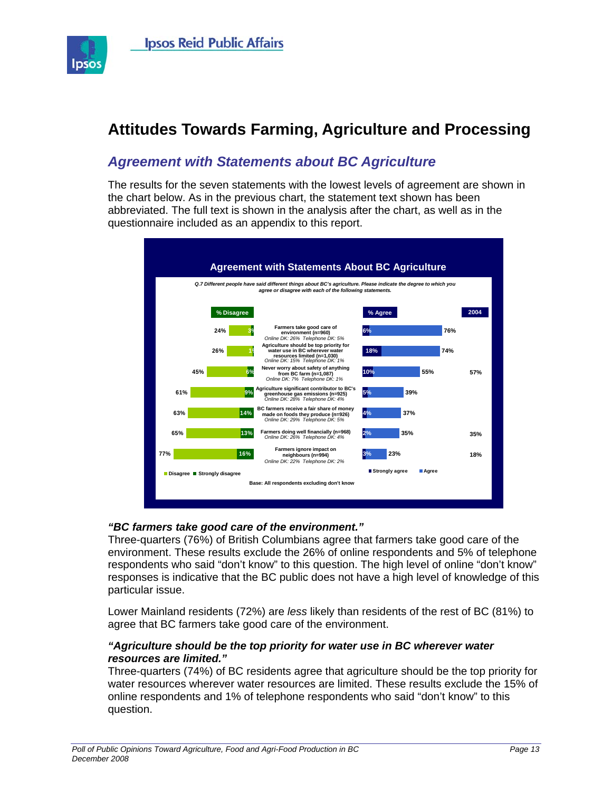

# **Attitudes Towards Farming, Agriculture and Processing**

# *Agreement with Statements about BC Agriculture*

The results for the seven statements with the lowest levels of agreement are shown in the chart below. As in the previous chart, the statement text shown has been abbreviated. The full text is shown in the analysis after the chart, as well as in the questionnaire included as an appendix to this report.



#### *"BC farmers take good care of the environment."*

Three-quarters (76%) of British Columbians agree that farmers take good care of the environment. These results exclude the 26% of online respondents and 5% of telephone respondents who said "don't know" to this question. The high level of online "don't know" responses is indicative that the BC public does not have a high level of knowledge of this particular issue.

Lower Mainland residents (72%) are *less* likely than residents of the rest of BC (81%) to agree that BC farmers take good care of the environment.

#### *"Agriculture should be the top priority for water use in BC wherever water resources are limited."*

Three-quarters (74%) of BC residents agree that agriculture should be the top priority for water resources wherever water resources are limited. These results exclude the 15% of online respondents and 1% of telephone respondents who said "don't know" to this question.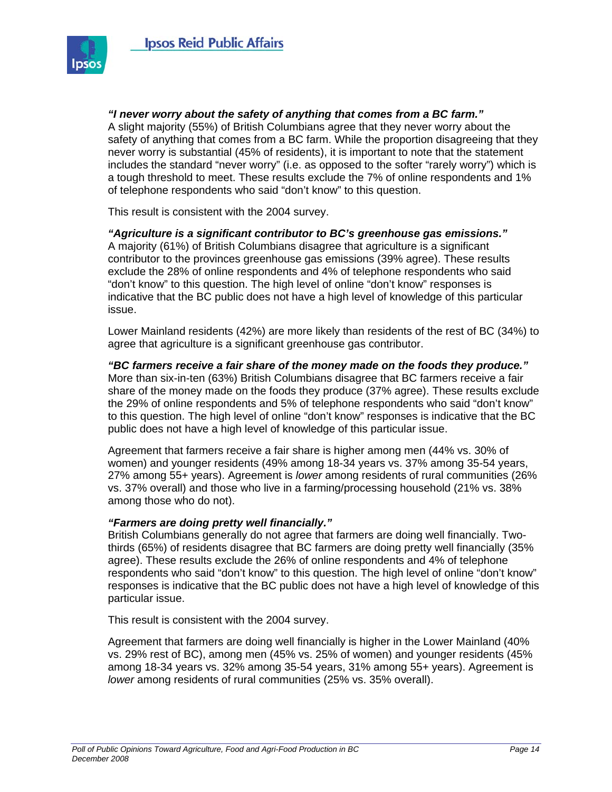

*"I never worry about the safety of anything that comes from a BC farm."*  A slight majority (55%) of British Columbians agree that they never worry about the safety of anything that comes from a BC farm. While the proportion disagreeing that they never worry is substantial (45% of residents), it is important to note that the statement includes the standard "never worry" (i.e. as opposed to the softer "rarely worry") which is a tough threshold to meet. These results exclude the 7% of online respondents and 1% of telephone respondents who said "don't know" to this question.

This result is consistent with the 2004 survey.

*"Agriculture is a significant contributor to BC's greenhouse gas emissions."*  A majority (61%) of British Columbians disagree that agriculture is a significant contributor to the provinces greenhouse gas emissions (39% agree). These results exclude the 28% of online respondents and 4% of telephone respondents who said "don't know" to this question. The high level of online "don't know" responses is indicative that the BC public does not have a high level of knowledge of this particular issue.

Lower Mainland residents (42%) are more likely than residents of the rest of BC (34%) to agree that agriculture is a significant greenhouse gas contributor.

*"BC farmers receive a fair share of the money made on the foods they produce."*  More than six-in-ten (63%) British Columbians disagree that BC farmers receive a fair share of the money made on the foods they produce (37% agree). These results exclude the 29% of online respondents and 5% of telephone respondents who said "don't know" to this question. The high level of online "don't know" responses is indicative that the BC public does not have a high level of knowledge of this particular issue.

Agreement that farmers receive a fair share is higher among men (44% vs. 30% of women) and younger residents (49% among 18-34 years vs. 37% among 35-54 years, 27% among 55+ years). Agreement is *lower* among residents of rural communities (26% vs. 37% overall) and those who live in a farming/processing household (21% vs. 38% among those who do not).

#### *"Farmers are doing pretty well financially."*

British Columbians generally do not agree that farmers are doing well financially. Twothirds (65%) of residents disagree that BC farmers are doing pretty well financially (35% agree). These results exclude the 26% of online respondents and 4% of telephone respondents who said "don't know" to this question. The high level of online "don't know" responses is indicative that the BC public does not have a high level of knowledge of this particular issue.

This result is consistent with the 2004 survey.

Agreement that farmers are doing well financially is higher in the Lower Mainland (40% vs. 29% rest of BC), among men (45% vs. 25% of women) and younger residents (45% among 18-34 years vs. 32% among 35-54 years, 31% among 55+ years). Agreement is *lower* among residents of rural communities (25% vs. 35% overall).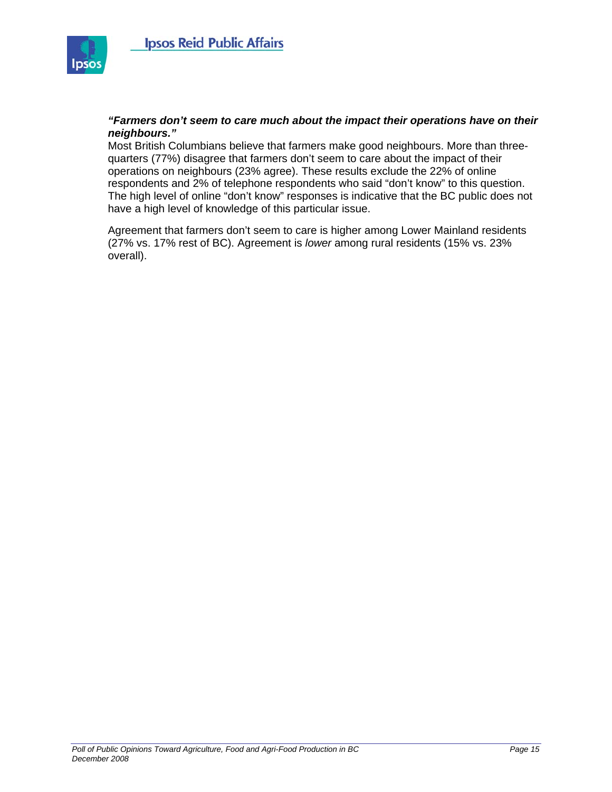

#### *"Farmers don't seem to care much about the impact their operations have on their neighbours."*

Most British Columbians believe that farmers make good neighbours. More than threequarters (77%) disagree that farmers don't seem to care about the impact of their operations on neighbours (23% agree). These results exclude the 22% of online respondents and 2% of telephone respondents who said "don't know" to this question. The high level of online "don't know" responses is indicative that the BC public does not have a high level of knowledge of this particular issue.

Agreement that farmers don't seem to care is higher among Lower Mainland residents (27% vs. 17% rest of BC). Agreement is *lower* among rural residents (15% vs. 23% overall).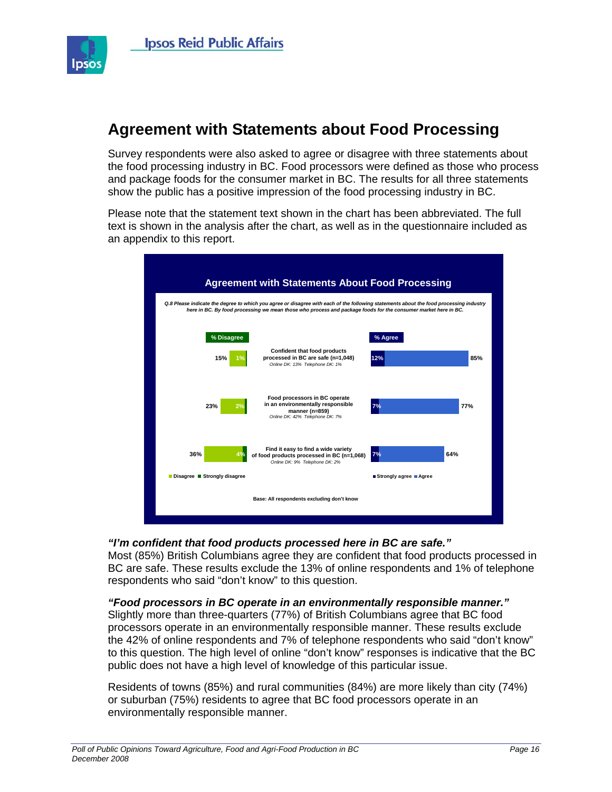

# **Agreement with Statements about Food Processing**

Survey respondents were also asked to agree or disagree with three statements about the food processing industry in BC. Food processors were defined as those who process and package foods for the consumer market in BC. The results for all three statements show the public has a positive impression of the food processing industry in BC.

Please note that the statement text shown in the chart has been abbreviated. The full text is shown in the analysis after the chart, as well as in the questionnaire included as an appendix to this report.



#### *"I'm confident that food products processed here in BC are safe."*

Most (85%) British Columbians agree they are confident that food products processed in BC are safe. These results exclude the 13% of online respondents and 1% of telephone respondents who said "don't know" to this question.

#### *"Food processors in BC operate in an environmentally responsible manner."*

Slightly more than three-quarters (77%) of British Columbians agree that BC food processors operate in an environmentally responsible manner. These results exclude the 42% of online respondents and 7% of telephone respondents who said "don't know" to this question. The high level of online "don't know" responses is indicative that the BC public does not have a high level of knowledge of this particular issue.

Residents of towns (85%) and rural communities (84%) are more likely than city (74%) or suburban (75%) residents to agree that BC food processors operate in an environmentally responsible manner.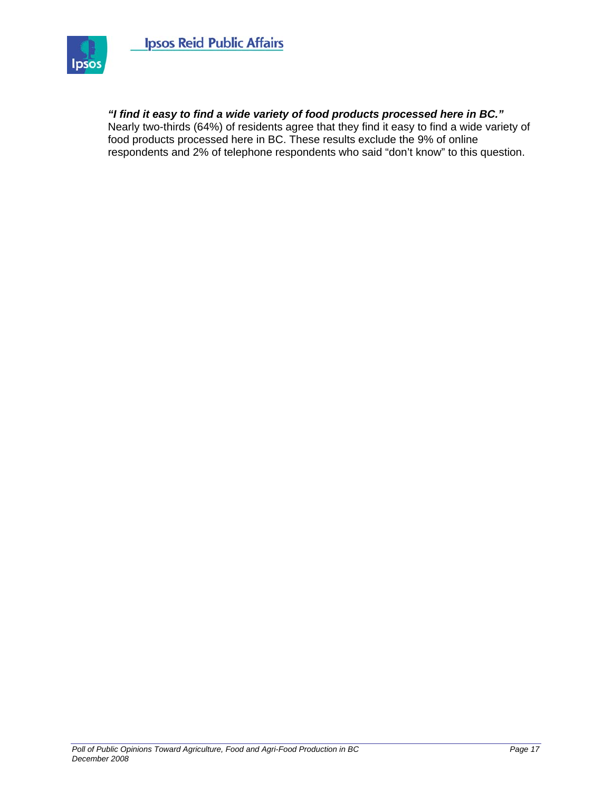

#### *"I find it easy to find a wide variety of food products processed here in BC."*

Nearly two-thirds (64%) of residents agree that they find it easy to find a wide variety of food products processed here in BC. These results exclude the 9% of online respondents and 2% of telephone respondents who said "don't know" to this question.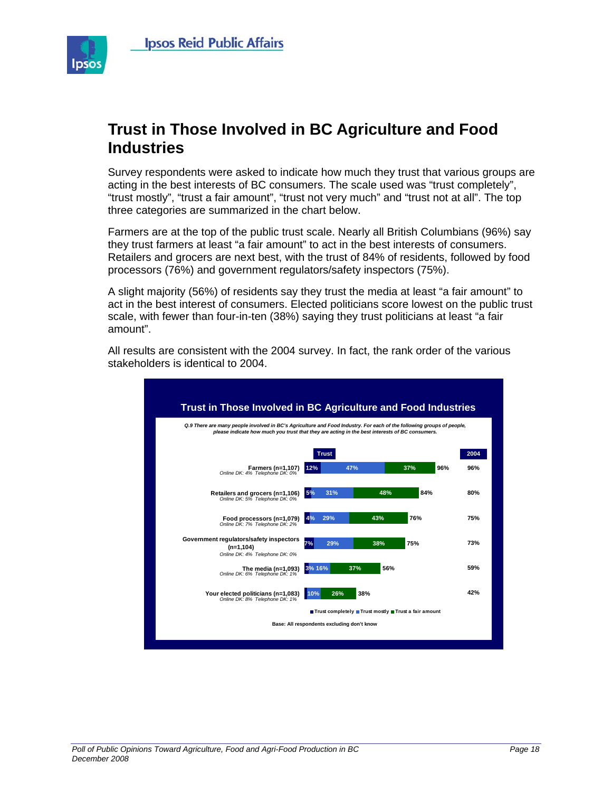

# **Trust in Those Involved in BC Agriculture and Food Industries**

Survey respondents were asked to indicate how much they trust that various groups are acting in the best interests of BC consumers. The scale used was "trust completely", "trust mostly", "trust a fair amount", "trust not very much" and "trust not at all". The top three categories are summarized in the chart below.

Farmers are at the top of the public trust scale. Nearly all British Columbians (96%) say they trust farmers at least "a fair amount" to act in the best interests of consumers. Retailers and grocers are next best, with the trust of 84% of residents, followed by food processors (76%) and government regulators/safety inspectors (75%).

A slight majority (56%) of residents say they trust the media at least "a fair amount" to act in the best interest of consumers. Elected politicians score lowest on the public trust scale, with fewer than four-in-ten (38%) saying they trust politicians at least "a fair amount".

All results are consistent with the 2004 survey. In fact, the rank order of the various stakeholders is identical to 2004.

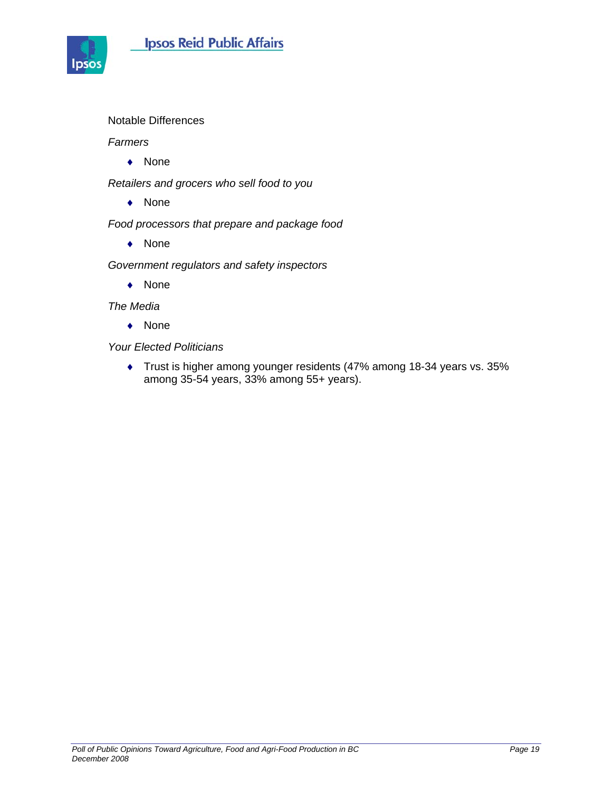



Notable Differences

*Farmers* 

♦ None

*Retailers and grocers who sell food to you* 

♦ None

*Food processors that prepare and package food* 

♦ None

*Government regulators and safety inspectors* 

♦ None

*The Media* 

♦ None

*Your Elected Politicians* 

♦ Trust is higher among younger residents (47% among 18-34 years vs. 35% among 35-54 years, 33% among 55+ years).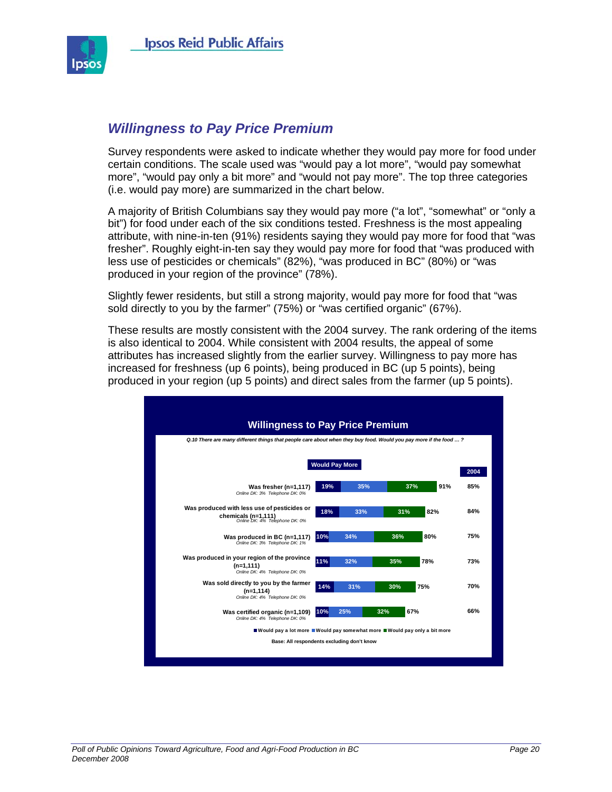

### *Willingness to Pay Price Premium*

Survey respondents were asked to indicate whether they would pay more for food under certain conditions. The scale used was "would pay a lot more", "would pay somewhat more", "would pay only a bit more" and "would not pay more". The top three categories (i.e. would pay more) are summarized in the chart below.

A majority of British Columbians say they would pay more ("a lot", "somewhat" or "only a bit") for food under each of the six conditions tested. Freshness is the most appealing attribute, with nine-in-ten (91%) residents saying they would pay more for food that "was fresher". Roughly eight-in-ten say they would pay more for food that "was produced with less use of pesticides or chemicals" (82%), "was produced in BC" (80%) or "was produced in your region of the province" (78%).

Slightly fewer residents, but still a strong majority, would pay more for food that "was sold directly to you by the farmer" (75%) or "was certified organic" (67%).

These results are mostly consistent with the 2004 survey. The rank ordering of the items is also identical to 2004. While consistent with 2004 results, the appeal of some attributes has increased slightly from the earlier survey. Willingness to pay more has increased for freshness (up 6 points), being produced in BC (up 5 points), being produced in your region (up 5 points) and direct sales from the farmer (up 5 points).

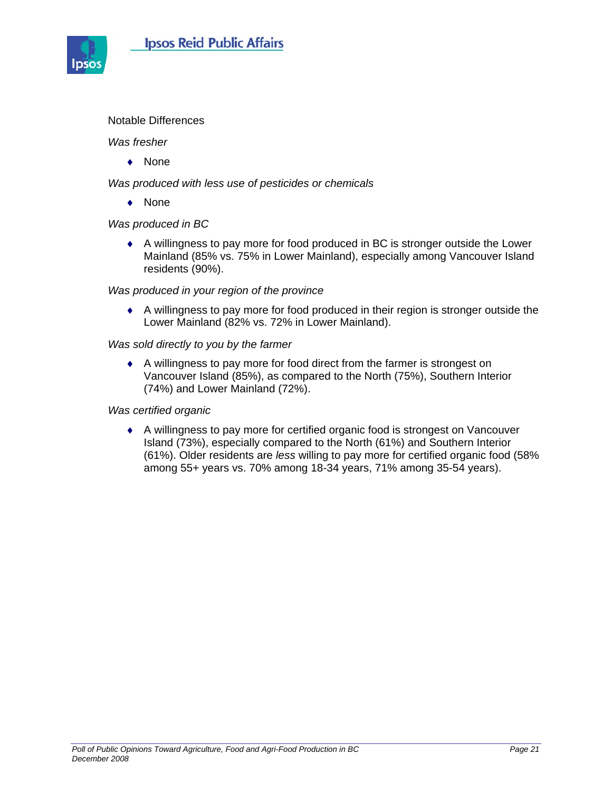

#### Notable Differences

#### *Was fresher*

♦ None

*Was produced with less use of pesticides or chemicals* 

♦ None

#### *Was produced in BC*

♦ A willingness to pay more for food produced in BC is stronger outside the Lower Mainland (85% vs. 75% in Lower Mainland), especially among Vancouver Island residents (90%).

#### *Was produced in your region of the province*

♦ A willingness to pay more for food produced in their region is stronger outside the Lower Mainland (82% vs. 72% in Lower Mainland).

#### *Was sold directly to you by the farmer*

♦ A willingness to pay more for food direct from the farmer is strongest on Vancouver Island (85%), as compared to the North (75%), Southern Interior (74%) and Lower Mainland (72%).

#### *Was certified organic*

♦ A willingness to pay more for certified organic food is strongest on Vancouver Island (73%), especially compared to the North (61%) and Southern Interior (61%). Older residents are *less* willing to pay more for certified organic food (58% among 55+ years vs. 70% among 18-34 years, 71% among 35-54 years).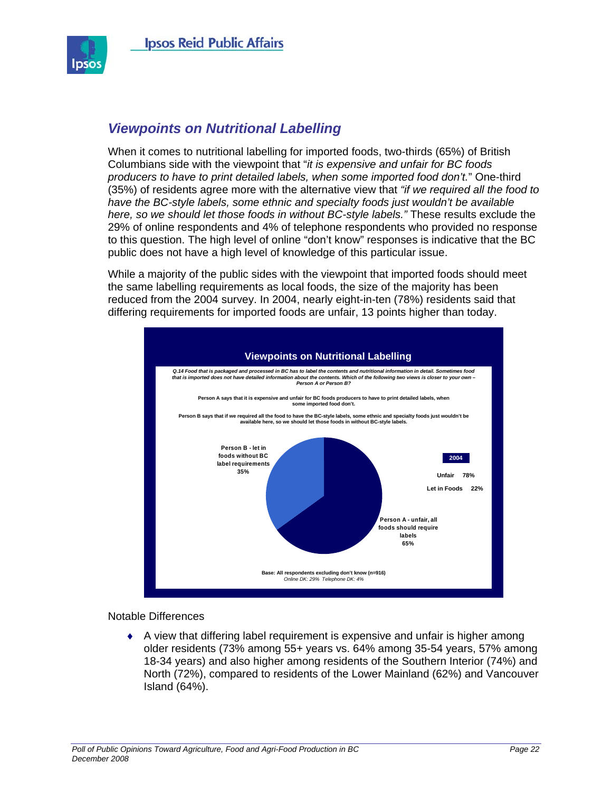

# *Viewpoints on Nutritional Labelling*

When it comes to nutritional labelling for imported foods, two-thirds (65%) of British Columbians side with the viewpoint that "*it is expensive and unfair for BC foods producers to have to print detailed labels, when some imported food don't.*" One-third (35%) of residents agree more with the alternative view that *"if we required all the food to have the BC-style labels, some ethnic and specialty foods just wouldn't be available here, so we should let those foods in without BC-style labels."* These results exclude the 29% of online respondents and 4% of telephone respondents who provided no response to this question. The high level of online "don't know" responses is indicative that the BC public does not have a high level of knowledge of this particular issue.

While a majority of the public sides with the viewpoint that imported foods should meet the same labelling requirements as local foods, the size of the majority has been reduced from the 2004 survey. In 2004, nearly eight-in-ten (78%) residents said that differing requirements for imported foods are unfair, 13 points higher than today.



Notable Differences

 $\bullet$  A view that differing label requirement is expensive and unfair is higher among older residents (73% among 55+ years vs. 64% among 35-54 years, 57% among 18-34 years) and also higher among residents of the Southern Interior (74%) and North (72%), compared to residents of the Lower Mainland (62%) and Vancouver Island (64%).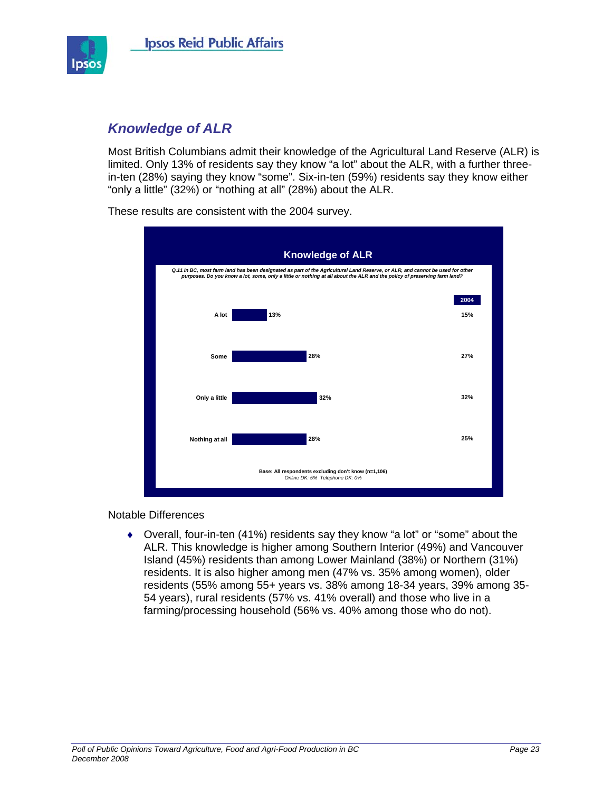

# *Knowledge of ALR*

Most British Columbians admit their knowledge of the Agricultural Land Reserve (ALR) is limited. Only 13% of residents say they know "a lot" about the ALR, with a further threein-ten (28%) saying they know "some". Six-in-ten (59%) residents say they know either "only a little" (32%) or "nothing at all" (28%) about the ALR.



These results are consistent with the 2004 survey.

Notable Differences

♦ Overall, four-in-ten (41%) residents say they know "a lot" or "some" about the ALR. This knowledge is higher among Southern Interior (49%) and Vancouver Island (45%) residents than among Lower Mainland (38%) or Northern (31%) residents. It is also higher among men (47% vs. 35% among women), older residents (55% among 55+ years vs. 38% among 18-34 years, 39% among 35- 54 years), rural residents (57% vs. 41% overall) and those who live in a farming/processing household (56% vs. 40% among those who do not).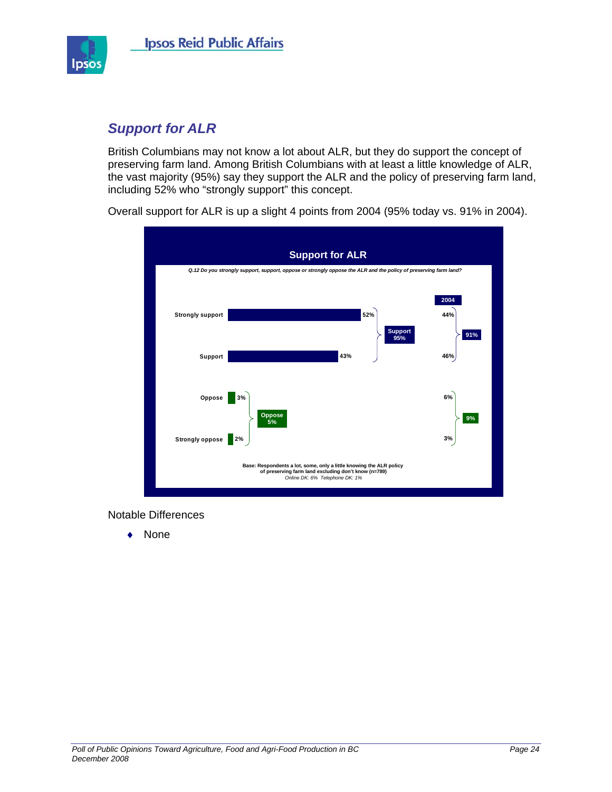

# *Support for ALR*

British Columbians may not know a lot about ALR, but they do support the concept of preserving farm land. Among British Columbians with at least a little knowledge of ALR, the vast majority (95%) say they support the ALR and the policy of preserving farm land, including 52% who "strongly support" this concept.

Overall support for ALR is up a slight 4 points from 2004 (95% today vs. 91% in 2004).



Notable Differences

♦ None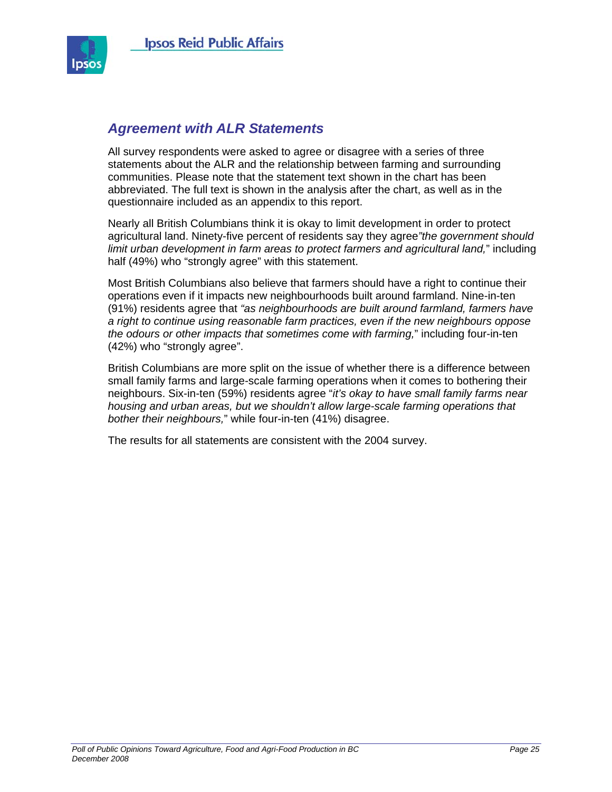

### *Agreement with ALR Statements*

All survey respondents were asked to agree or disagree with a series of three statements about the ALR and the relationship between farming and surrounding communities. Please note that the statement text shown in the chart has been abbreviated. The full text is shown in the analysis after the chart, as well as in the questionnaire included as an appendix to this report.

Nearly all British Columbians think it is okay to limit development in order to protect agricultural land. Ninety-five percent of residents say they agree*"the government should limit urban development in farm areas to protect farmers and agricultural land,*" including half (49%) who "strongly agree" with this statement.

Most British Columbians also believe that farmers should have a right to continue their operations even if it impacts new neighbourhoods built around farmland. Nine-in-ten (91%) residents agree that *"as neighbourhoods are built around farmland, farmers have a right to continue using reasonable farm practices, even if the new neighbours oppose the odours or other impacts that sometimes come with farming,*" including four-in-ten (42%) who "strongly agree".

British Columbians are more split on the issue of whether there is a difference between small family farms and large-scale farming operations when it comes to bothering their neighbours. Six-in-ten (59%) residents agree "*it's okay to have small family farms near housing and urban areas, but we shouldn't allow large-scale farming operations that bother their neighbours,*" while four-in-ten (41%) disagree.

The results for all statements are consistent with the 2004 survey.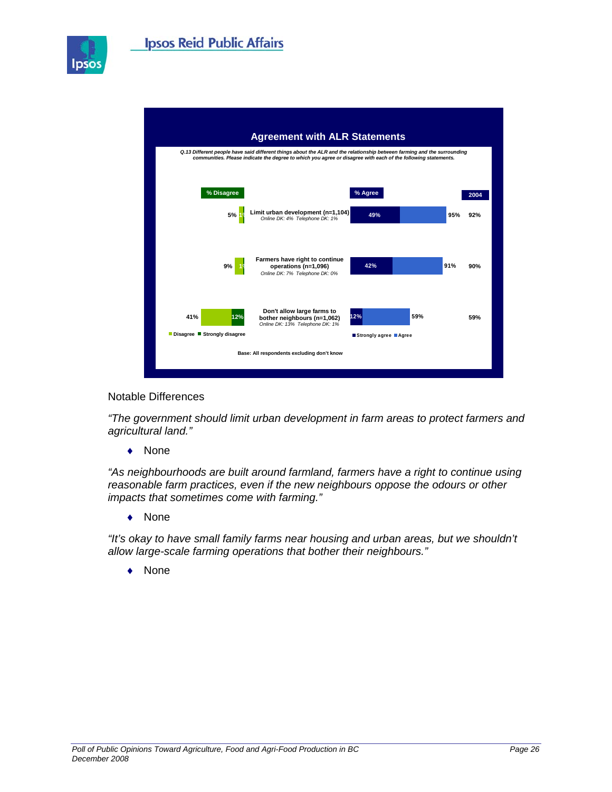

Ipsos



Notable Differences

*"The government should limit urban development in farm areas to protect farmers and agricultural land."* 

♦ None

*"As neighbourhoods are built around farmland, farmers have a right to continue using reasonable farm practices, even if the new neighbours oppose the odours or other impacts that sometimes come with farming."* 

♦ None

*"It's okay to have small family farms near housing and urban areas, but we shouldn't allow large-scale farming operations that bother their neighbours."* 

**None**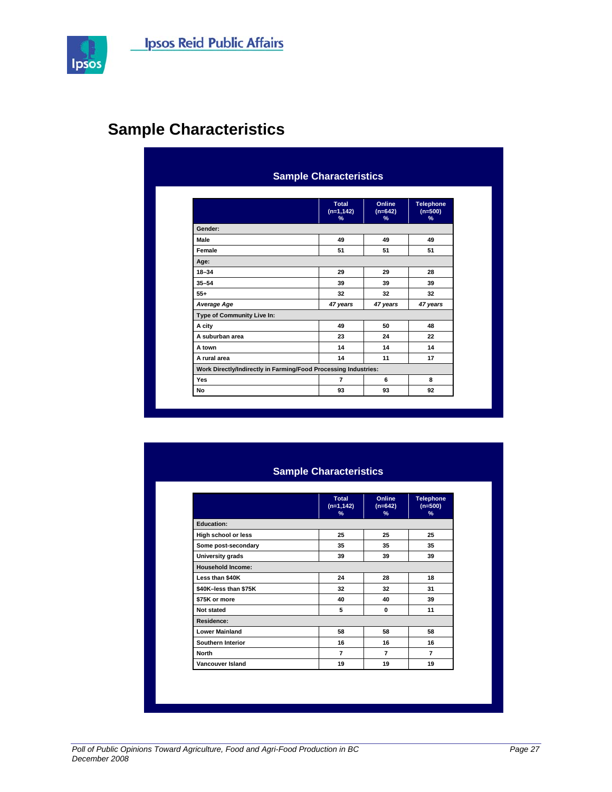

# **Sample Characteristics**

|                                                                 | Total<br>$(n=1, 142)$<br>% | Online<br>$(n=642)$<br>% | Telephone<br>$(n=500)$<br>% |
|-----------------------------------------------------------------|----------------------------|--------------------------|-----------------------------|
| Gender:                                                         |                            |                          |                             |
| Male                                                            | 49                         | 49                       | 49                          |
| Female                                                          | 51                         | 51                       | 51                          |
| Age:                                                            |                            |                          |                             |
| $18 - 34$                                                       | 29                         | 29                       | 28                          |
| $35 - 54$                                                       | 39                         | 39                       | 39                          |
| $55+$                                                           | 32                         | 32                       | 32                          |
| Average Age                                                     | 47 years                   | 47 years                 | 47 years                    |
| Type of Community Live In:                                      |                            |                          |                             |
| A city                                                          | 49                         | 50                       | 48                          |
| A suburban area                                                 | 23                         | 24                       | 22                          |
| A town                                                          | 14                         | 14                       | 14                          |
| A rural area                                                    | 14                         | 11                       | 17                          |
| Work Directly/Indirectly in Farming/Food Processing Industries: |                            |                          |                             |
| <b>Yes</b>                                                      | $\overline{7}$             | 6                        | 8                           |
| No                                                              | 93                         | 93                       | 92                          |

#### **Sample Characteristics**

|                          | <b>Total</b><br>$(n=1, 142)$<br>$\%$ | Online<br>$(n=642)$<br>$\%$ | <b>Telephone</b><br>$(n=500)$<br>$\%$ |
|--------------------------|--------------------------------------|-----------------------------|---------------------------------------|
| <b>Education:</b>        |                                      |                             |                                       |
| High school or less      | 25                                   | 25                          | 25                                    |
| Some post-secondary      | 35                                   | 35                          | 35                                    |
| University grads         | 39                                   | 39                          | 39                                    |
| <b>Household Income:</b> |                                      |                             |                                       |
| Less than \$40K          | 24                                   | 28                          | 18                                    |
| \$40K-less than \$75K    | 32                                   | 32                          | 31                                    |
| \$75K or more            | 40                                   | 40                          | 39                                    |
| Not stated               | 5                                    | $\bf{0}$                    | 11                                    |
| Residence:               |                                      |                             |                                       |
| <b>Lower Mainland</b>    | 58                                   | 58                          | 58                                    |
| Southern Interior        | 16                                   | 16                          | 16                                    |
| <b>North</b>             | $\overline{7}$                       | $\overline{7}$              | $\overline{7}$                        |
| Vancouver Island         | 19                                   | 19                          | 19                                    |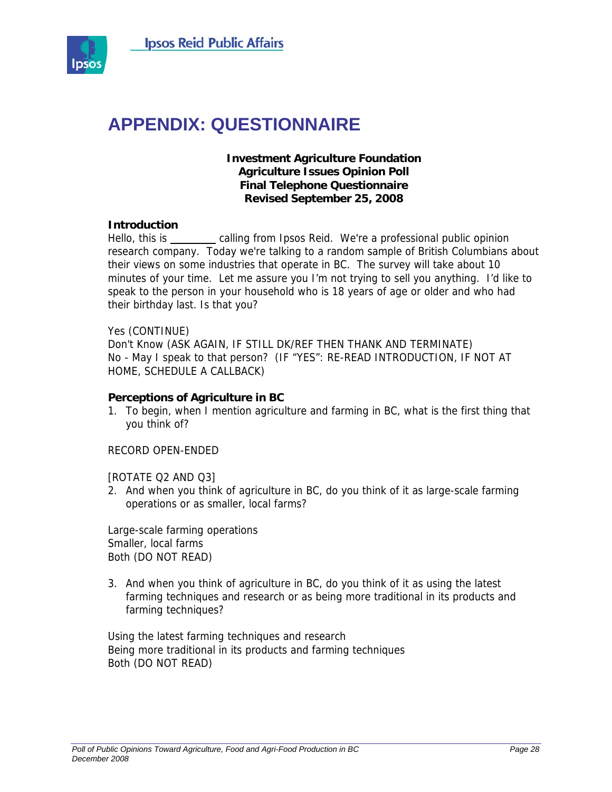

# **APPENDIX: QUESTIONNAIRE**

#### **Investment Agriculture Foundation Agriculture Issues Opinion Poll Final Telephone Questionnaire Revised September 25, 2008**

#### **Introduction**

Hello, this is \_\_\_\_\_\_\_ calling from Ipsos Reid. We're a professional public opinion research company. Today we're talking to a random sample of British Columbians about their views on some industries that operate in BC. The survey will take about 10 minutes of your time. Let me assure you I'm not trying to sell you anything. I'd like to speak to the person in your household who is 18 years of age or older and who had their birthday last. Is that you?

#### Yes (CONTINUE)

Don't Know (ASK AGAIN, IF STILL DK/REF THEN THANK AND TERMINATE) No - May I speak to that person? (IF "YES": RE-READ INTRODUCTION, IF NOT AT HOME, SCHEDULE A CALLBACK)

#### **Perceptions of Agriculture in BC**

1. To begin, when I mention agriculture and farming in BC, what is the first thing that you think of?

#### RECORD OPEN-ENDED

[ROTATE Q2 AND Q3]

2. And when you think of agriculture in BC, do you think of it as large-scale farming operations or as smaller, local farms?

Large-scale farming operations Smaller, local farms Both (DO NOT READ)

3. And when you think of agriculture in BC, do you think of it as using the latest farming techniques and research or as being more traditional in its products and farming techniques?

Using the latest farming techniques and research Being more traditional in its products and farming techniques Both (DO NOT READ)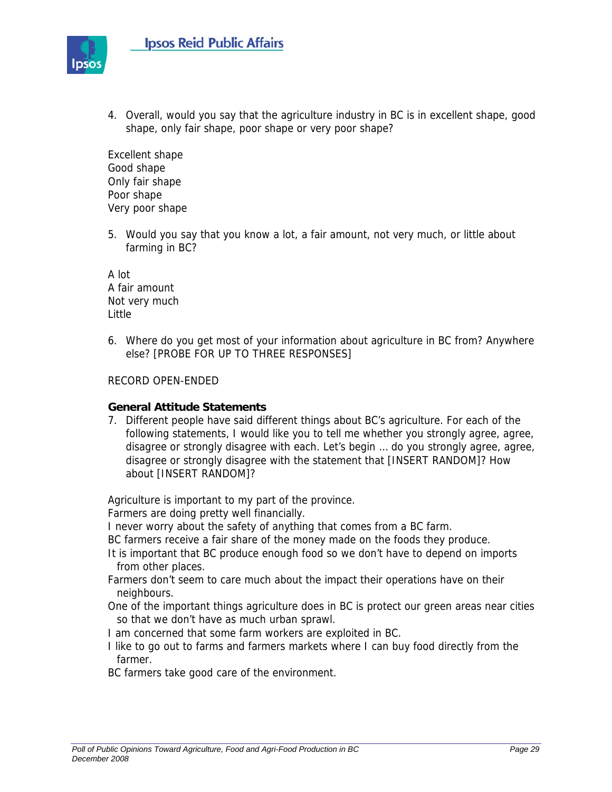

4. Overall, would you say that the agriculture industry in BC is in excellent shape, good shape, only fair shape, poor shape or very poor shape?

Excellent shape Good shape Only fair shape Poor shape Very poor shape

5. Would you say that you know a lot, a fair amount, not very much, or little about farming in BC?

A lot A fair amount Not very much Little

6. Where do you get most of your information about agriculture in BC from? Anywhere else? [PROBE FOR UP TO THREE RESPONSES]

#### RECORD OPEN-ENDED

#### **General Attitude Statements**

7. Different people have said different things about BC's agriculture. For each of the following statements, I would like you to tell me whether you strongly agree, agree, disagree or strongly disagree with each. Let's begin … do you strongly agree, agree, disagree or strongly disagree with the statement that [INSERT RANDOM]? How about [INSERT RANDOM]?

Agriculture is important to my part of the province.

Farmers are doing pretty well financially.

I never worry about the safety of anything that comes from a BC farm.

BC farmers receive a fair share of the money made on the foods they produce.

- It is important that BC produce enough food so we don't have to depend on imports from other places.
- Farmers don't seem to care much about the impact their operations have on their neighbours.
- One of the important things agriculture does in BC is protect our green areas near cities so that we don't have as much urban sprawl.
- I am concerned that some farm workers are exploited in BC.
- I like to go out to farms and farmers markets where I can buy food directly from the farmer.

BC farmers take good care of the environment.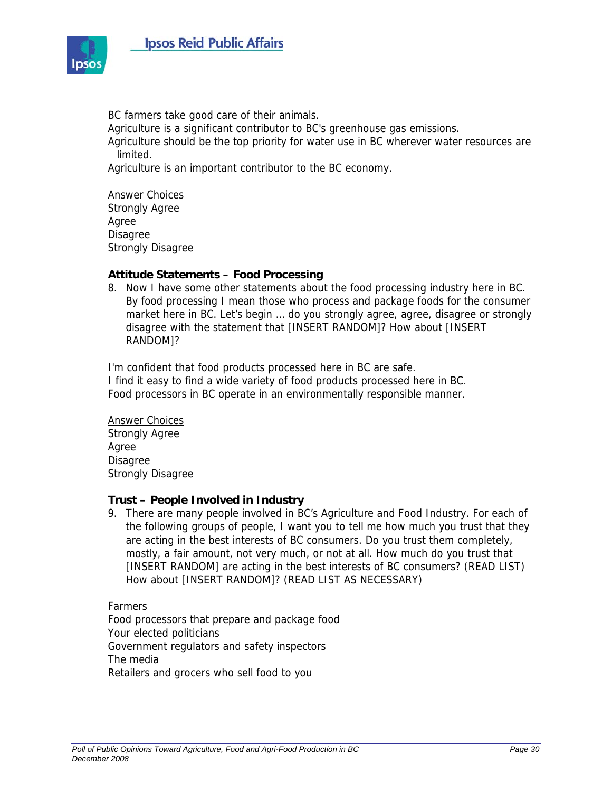

BC farmers take good care of their animals.

Agriculture is a significant contributor to BC's greenhouse gas emissions.

Agriculture should be the top priority for water use in BC wherever water resources are limited.

Agriculture is an important contributor to the BC economy.

Answer Choices Strongly Agree Agree Disagree Strongly Disagree

#### **Attitude Statements – Food Processing**

8. Now I have some other statements about the food processing industry here in BC. By food processing I mean those who process and package foods for the consumer market here in BC. Let's begin … do you strongly agree, agree, disagree or strongly disagree with the statement that [INSERT RANDOM]? How about [INSERT RANDOM]?

I'm confident that food products processed here in BC are safe. I find it easy to find a wide variety of food products processed here in BC. Food processors in BC operate in an environmentally responsible manner.

Answer Choices Strongly Agree Agree Disagree Strongly Disagree

#### **Trust – People Involved in Industry**

9. There are many people involved in BC's Agriculture and Food Industry. For each of the following groups of people, I want you to tell me how much you trust that they are acting in the best interests of BC consumers. Do you trust them completely, mostly, a fair amount, not very much, or not at all. How much do you trust that [INSERT RANDOM] are acting in the best interests of BC consumers? (READ LIST) How about [INSERT RANDOM]? (READ LIST AS NECESSARY)

Farmers Food processors that prepare and package food Your elected politicians Government regulators and safety inspectors The media Retailers and grocers who sell food to you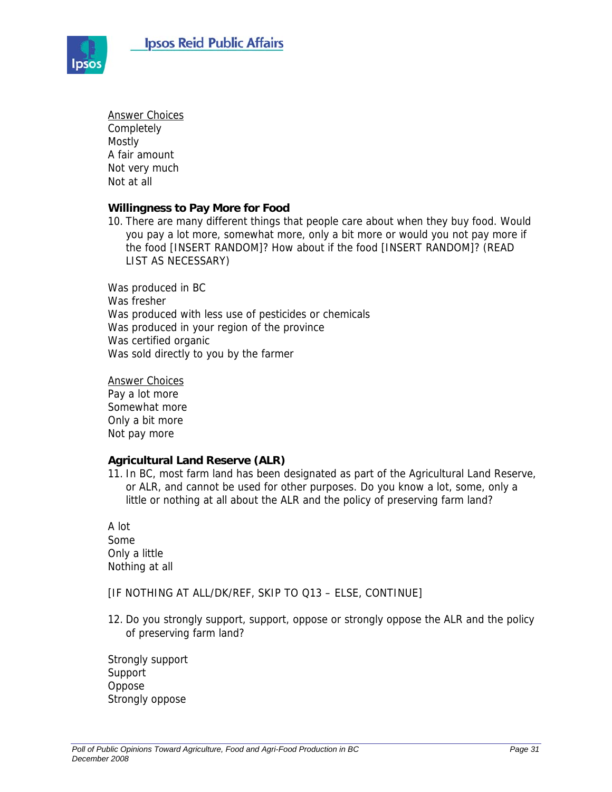

Answer Choices Completely Mostly A fair amount Not very much Not at all

#### **Willingness to Pay More for Food**

10. There are many different things that people care about when they buy food. Would you pay a lot more, somewhat more, only a bit more or would you not pay more if the food [INSERT RANDOM]? How about if the food [INSERT RANDOM]? (READ LIST AS NECESSARY)

Was produced in BC Was fresher Was produced with less use of pesticides or chemicals Was produced in your region of the province Was certified organic Was sold directly to you by the farmer

Answer Choices Pay a lot more Somewhat more Only a bit more Not pay more

#### **Agricultural Land Reserve (ALR)**

11. In BC, most farm land has been designated as part of the Agricultural Land Reserve, or ALR, and cannot be used for other purposes. Do you know a lot, some, only a little or nothing at all about the ALR and the policy of preserving farm land?

A lot Some Only a little Nothing at all

[IF NOTHING AT ALL/DK/REF, SKIP TO Q13 – ELSE, CONTINUE]

12. Do you strongly support, support, oppose or strongly oppose the ALR and the policy of preserving farm land?

Strongly support Support Oppose Strongly oppose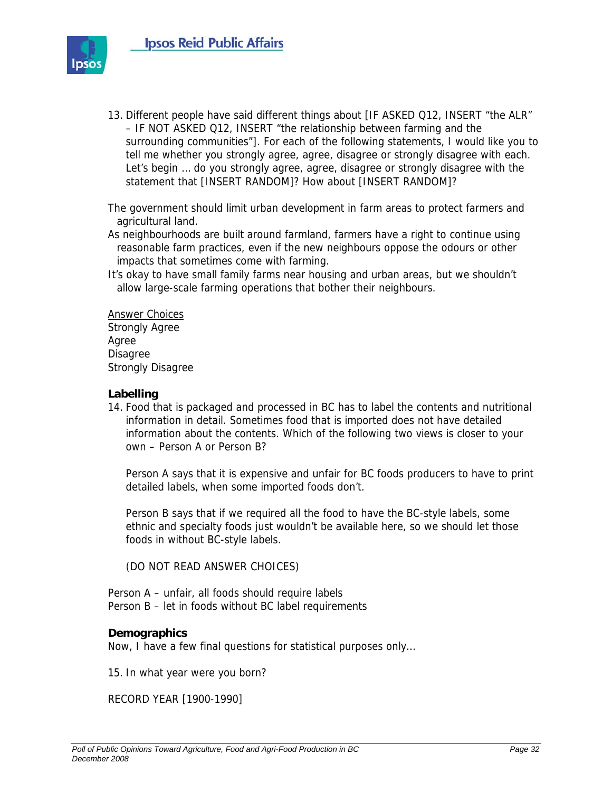

13. Different people have said different things about [IF ASKED Q12, INSERT "the ALR" – IF NOT ASKED Q12, INSERT "the relationship between farming and the surrounding communities"]. For each of the following statements, I would like you to tell me whether you strongly agree, agree, disagree or strongly disagree with each. Let's begin ... do you strongly agree, agree, disagree or strongly disagree with the statement that [INSERT RANDOM]? How about [INSERT RANDOM]?

The government should limit urban development in farm areas to protect farmers and agricultural land.

As neighbourhoods are built around farmland, farmers have a right to continue using reasonable farm practices, even if the new neighbours oppose the odours or other impacts that sometimes come with farming.

It's okay to have small family farms near housing and urban areas, but we shouldn't allow large-scale farming operations that bother their neighbours.

Answer Choices Strongly Agree Agree Disagree Strongly Disagree

#### **Labelling**

14. Food that is packaged and processed in BC has to label the contents and nutritional information in detail. Sometimes food that is imported does not have detailed information about the contents. Which of the following two views is closer to your own – Person A or Person B?

Person A says that it is expensive and unfair for BC foods producers to have to print detailed labels, when some imported foods don't.

Person B says that if we required all the food to have the BC-style labels, some ethnic and specialty foods just wouldn't be available here, so we should let those foods in without BC-style labels.

(DO NOT READ ANSWER CHOICES)

Person A – unfair, all foods should require labels Person B – let in foods without BC label requirements

#### **Demographics**

Now, I have a few final questions for statistical purposes only…

15. In what year were you born?

RECORD YEAR [1900-1990]